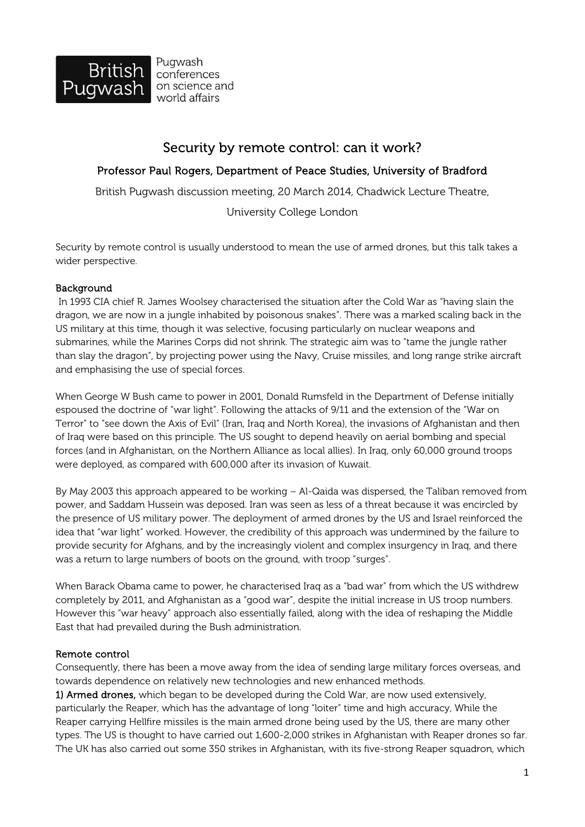

Pugwash conferences on science and world affairs

## Security by remote control: can it work?

## Professor Paul Rogers, Department of Peace Studies, University of Bradford

British Pugwash discussion meeting, 20 March 2014, Chadwick Lecture Theatre,

University College London

Security by remote control is usually understood to mean the use of armed drones, but this talk takes a wider perspective.

## **Background**

 In 1993 CIA chief R. James Woolsey characterised the situation after the Cold War as "having slain the dragon, we are now in a jungle inhabited by poisonous snakes". There was a marked scaling back in the US military at this time, though it was selective, focusing particularly on nuclear weapons and submarines, while the Marines Corps did not shrink. The strategic aim was to "tame the jungle rather than slay the dragon", by projecting power using the Navy, Cruise missiles, and long range strike aircraft and emphasising the use of special forces.

When George W Bush came to power in 2001, Donald Rumsfeld in the Department of Defense initially espoused the doctrine of "war light". Following the attacks of 9/11 and the extension of the "War on Terror" to "see down the Axis of Evil" (Iran, Iraq and North Korea), the invasions of Afghanistan and then of Iraq were based on this principle. The US sought to depend heavily on aerial bombing and special forces (and in Afghanistan, on the Northern Alliance as local allies). In Iraq, only 60,000 ground troops were deployed, as compared with 600,000 after its invasion of Kuwait.

By May 2003 this approach appeared to be working – Al-Qaida was dispersed, the Taliban removed from power, and Saddam Hussein was deposed. Iran was seen as less of a threat because it was encircled by the presence of US military power. The deployment of armed drones by the US and Israel reinforced the idea that "war light" worked. However, the credibility of this approach was undermined by the failure to provide security for Afghans, and by the increasingly violent and complex insurgency in Iraq, and there was a return to large numbers of boots on the ground, with troop "surges".

When Barack Obama came to power, he characterised Iraq as a "bad war" from which the US withdrew completely by 2011, and Afghanistan as a "good war", despite the initial increase in US troop numbers. However this "war heavy" approach also essentially failed, along with the idea of reshaping the Middle East that had prevailed during the Bush administration.

## Remote control

Consequently, there has been a move away from the idea of sending large military forces overseas, and towards dependence on relatively new technologies and new enhanced methods.

1) Armed drones, which began to be developed during the Cold War, are now used extensively, particularly the Reaper, which has the advantage of long "loiter" time and high accuracy, While the Reaper carrying Hellfire missiles is the main armed drone being used by the US, there are many other types. The US is thought to have carried out 1,600-2,000 strikes in Afghanistan with Reaper drones so far. The UK has also carried out some 350 strikes in Afghanistan, with its five-strong Reaper squadron, which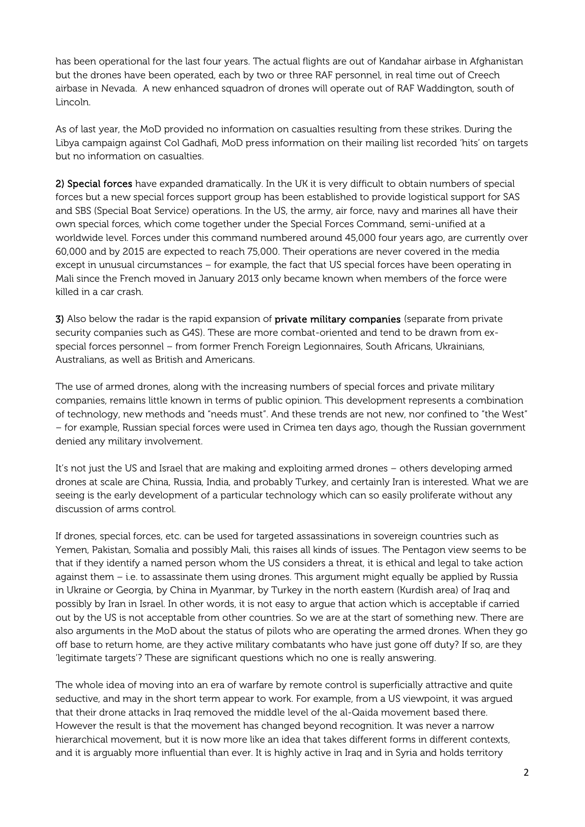has been operational for the last four years. The actual flights are out of Kandahar airbase in Afghanistan but the drones have been operated, each by two or three RAF personnel, in real time out of Creech airbase in Nevada. A new enhanced squadron of drones will operate out of RAF Waddington, south of Lincoln.

As of last year, the MoD provided no information on casualties resulting from these strikes. During the Libya campaign against Col Gadhafi, MoD press information on their mailing list recorded 'hits' on targets but no information on casualties.

2) Special forces have expanded dramatically. In the UK it is very difficult to obtain numbers of special forces but a new special forces support group has been established to provide logistical support for SAS and SBS (Special Boat Service) operations. In the US, the army, air force, navy and marines all have their own special forces, which come together under the Special Forces Command, semi-unified at a worldwide level. Forces under this command numbered around 45,000 four years ago, are currently over 60,000 and by 2015 are expected to reach 75,000. Their operations are never covered in the media except in unusual circumstances – for example, the fact that US special forces have been operating in Mali since the French moved in January 2013 only became known when members of the force were killed in a car crash.

3) Also below the radar is the rapid expansion of **private military companies** (separate from private security companies such as G4S). These are more combat-oriented and tend to be drawn from exspecial forces personnel – from former French Foreign Legionnaires, South Africans, Ukrainians, Australians, as well as British and Americans.

The use of armed drones, along with the increasing numbers of special forces and private military companies, remains little known in terms of public opinion. This development represents a combination of technology, new methods and "needs must". And these trends are not new, nor confined to "the West" – for example, Russian special forces were used in Crimea ten days ago, though the Russian government denied any military involvement.

It's not just the US and Israel that are making and exploiting armed drones – others developing armed drones at scale are China, Russia, India, and probably Turkey, and certainly Iran is interested. What we are seeing is the early development of a particular technology which can so easily proliferate without any discussion of arms control.

If drones, special forces, etc. can be used for targeted assassinations in sovereign countries such as Yemen, Pakistan, Somalia and possibly Mali, this raises all kinds of issues. The Pentagon view seems to be that if they identify a named person whom the US considers a threat, it is ethical and legal to take action against them – i.e. to assassinate them using drones. This argument might equally be applied by Russia in Ukraine or Georgia, by China in Myanmar, by Turkey in the north eastern (Kurdish area) of Iraq and possibly by Iran in Israel. In other words, it is not easy to argue that action which is acceptable if carried out by the US is not acceptable from other countries. So we are at the start of something new. There are also arguments in the MoD about the status of pilots who are operating the armed drones. When they go off base to return home, are they active military combatants who have just gone off duty? If so, are they 'legitimate targets'? These are significant questions which no one is really answering.

The whole idea of moving into an era of warfare by remote control is superficially attractive and quite seductive, and may in the short term appear to work. For example, from a US viewpoint, it was argued that their drone attacks in Iraq removed the middle level of the al-Qaida movement based there. However the result is that the movement has changed beyond recognition. It was never a narrow hierarchical movement, but it is now more like an idea that takes different forms in different contexts, and it is arguably more influential than ever. It is highly active in Iraq and in Syria and holds territory